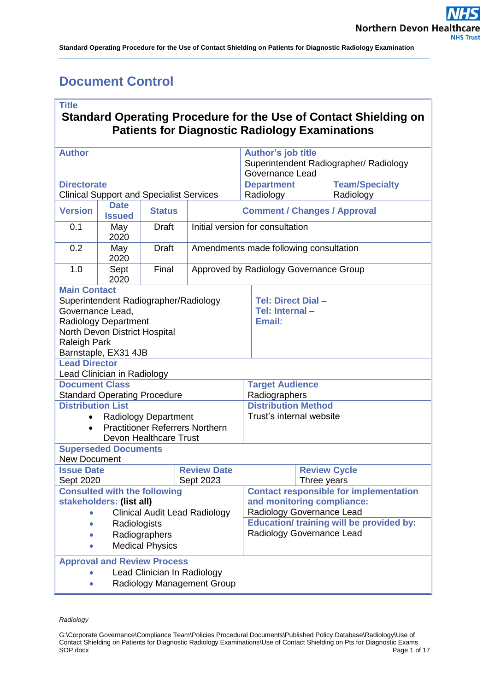# <span id="page-0-0"></span>**Document Control**

### **Title**

## **Standard Operating Procedure for the Use of Contact Shielding on Patients for Diagnostic Radiology Examinations**

| <b>Author</b>                                                |                                        |               |                                        | <b>Author's job title</b><br>Superintendent Radiographer/ Radiology<br>Governance Lead |  |                                    |  |  |
|--------------------------------------------------------------|----------------------------------------|---------------|----------------------------------------|----------------------------------------------------------------------------------------|--|------------------------------------|--|--|
| <b>Directorate</b>                                           |                                        |               |                                        | <b>Team/Specialty</b><br><b>Department</b>                                             |  |                                    |  |  |
| <b>Clinical Support and Specialist Services</b>              |                                        |               |                                        | Radiology<br>Radiology                                                                 |  |                                    |  |  |
| <b>Version</b>                                               | <b>Date</b><br><b>Issued</b>           | <b>Status</b> | <b>Comment / Changes / Approval</b>    |                                                                                        |  |                                    |  |  |
| 0.1                                                          | May<br>2020                            | <b>Draft</b>  | Initial version for consultation       |                                                                                        |  |                                    |  |  |
| 0.2                                                          | May<br>2020                            | <b>Draft</b>  | Amendments made following consultation |                                                                                        |  |                                    |  |  |
| 1.0                                                          | Sept<br>2020                           | Final         | Approved by Radiology Governance Group |                                                                                        |  |                                    |  |  |
| <b>Main Contact</b>                                          |                                        |               |                                        |                                                                                        |  |                                    |  |  |
| Superintendent Radiographer/Radiology<br>Governance Lead,    |                                        |               |                                        | Tel: Direct Dial -<br>Tel: Internal-<br><b>Email</b>                                   |  |                                    |  |  |
| <b>Radiology Department</b><br>North Devon District Hospital |                                        |               |                                        |                                                                                        |  |                                    |  |  |
| Raleigh Park                                                 |                                        |               |                                        |                                                                                        |  |                                    |  |  |
| Barnstaple, EX31 4JB<br><b>Lead Director</b>                 |                                        |               |                                        |                                                                                        |  |                                    |  |  |
|                                                              | Lead Clinician in Radiology            |               |                                        |                                                                                        |  |                                    |  |  |
| <b>Document Class</b>                                        |                                        |               | <b>Target Audience</b>                 |                                                                                        |  |                                    |  |  |
| <b>Standard Operating Procedure</b>                          |                                        |               |                                        | Radiographers                                                                          |  |                                    |  |  |
| <b>Distribution List</b>                                     |                                        |               |                                        | <b>Distribution Method</b>                                                             |  |                                    |  |  |
| <b>Radiology Department</b><br>$\bullet$                     |                                        |               |                                        | Trust's internal website                                                               |  |                                    |  |  |
| $\bullet$                                                    | <b>Practitioner Referrers Northern</b> |               |                                        |                                                                                        |  |                                    |  |  |
| <b>Devon Healthcare Trust</b>                                |                                        |               |                                        |                                                                                        |  |                                    |  |  |
| <b>Superseded Documents</b>                                  |                                        |               |                                        |                                                                                        |  |                                    |  |  |
| <b>New Document</b><br><b>Review Date</b>                    |                                        |               |                                        |                                                                                        |  |                                    |  |  |
| <b>Issue Date</b><br>Sept 2020                               |                                        |               | Sept 2023                              |                                                                                        |  | <b>Review Cycle</b><br>Three years |  |  |
| <b>Consulted with the following</b>                          |                                        |               |                                        | <b>Contact responsible for implementation</b>                                          |  |                                    |  |  |
| stakeholders: (list all)                                     |                                        |               |                                        | and monitoring compliance:                                                             |  |                                    |  |  |
| • Clinical Audit Lead Radiology                              |                                        |               |                                        | Radiology Governance Lead                                                              |  |                                    |  |  |
| Radiologists                                                 |                                        |               |                                        | <b>Education/ training will be provided by:</b>                                        |  |                                    |  |  |
| Radiographers                                                |                                        |               |                                        | Radiology Governance Lead                                                              |  |                                    |  |  |
| <b>Medical Physics</b>                                       |                                        |               |                                        |                                                                                        |  |                                    |  |  |
| <b>Approval and Review Process</b>                           |                                        |               |                                        |                                                                                        |  |                                    |  |  |
| Lead Clinician In Radiology                                  |                                        |               |                                        |                                                                                        |  |                                    |  |  |
| Radiology Management Group                                   |                                        |               |                                        |                                                                                        |  |                                    |  |  |

*Radiology*

G:\Corporate Governance\Compliance Team\Policies Procedural Documents\Published Policy Database\Radiology\Use of Contact Shielding on Patients for Diagnostic Radiology Examinations\Use of Contact Shielding on Pts for Diagnostic Exams Page 1 of 17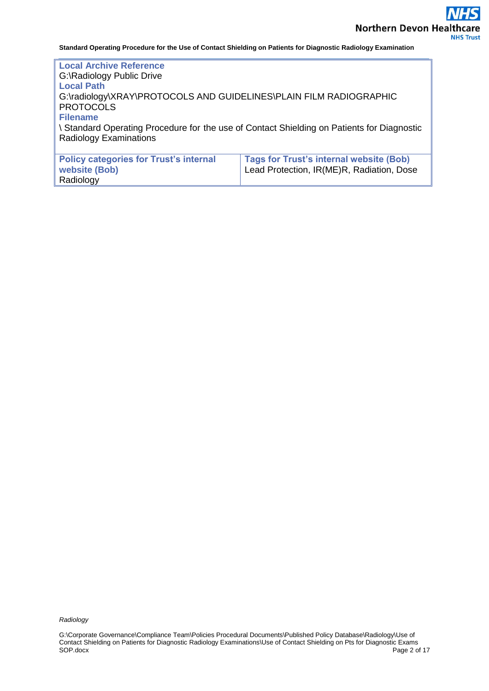**Local Archive Reference** G:\Radiology Public Drive **Local Path** G:\radiology\XRAY\PROTOCOLS AND GUIDELINES\PLAIN FILM RADIOGRAPHIC **PROTOCOLS Filename** \ Standard Operating Procedure for the use of Contact Shielding on Patients for Diagnostic Radiology Examinations **Policy categories for Trust's internal website (Bob) Tags for Trust's internal website (Bob)** Lead Protection, IR(ME)R, Radiation, Dose

*Radiology*

Radiology

G:\Corporate Governance\Compliance Team\Policies Procedural Documents\Published Policy Database\Radiology\Use of Contact Shielding on Patients for Diagnostic Radiology Examinations\Use of Contact Shielding on Pts for Diagnostic Exams Page 2 of 17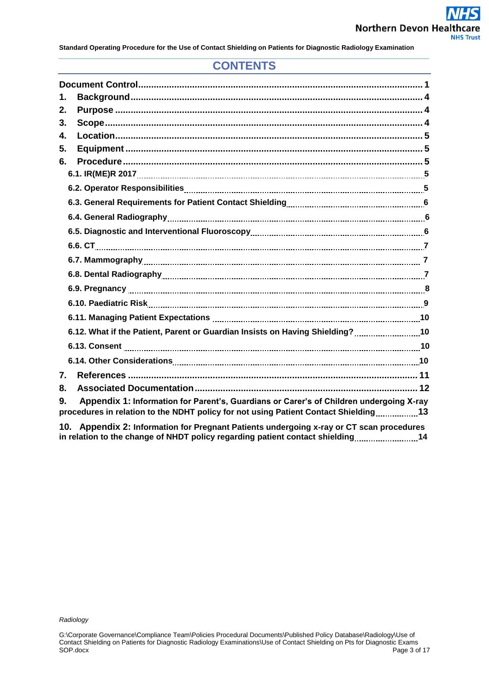## **CONTENTS**

| 1.               |                                                                                                                        |  |
|------------------|------------------------------------------------------------------------------------------------------------------------|--|
| 2.               |                                                                                                                        |  |
| 3.               |                                                                                                                        |  |
| 4.               |                                                                                                                        |  |
| 5.               |                                                                                                                        |  |
| 6.               |                                                                                                                        |  |
|                  |                                                                                                                        |  |
|                  |                                                                                                                        |  |
|                  |                                                                                                                        |  |
|                  |                                                                                                                        |  |
|                  |                                                                                                                        |  |
|                  |                                                                                                                        |  |
|                  |                                                                                                                        |  |
|                  |                                                                                                                        |  |
|                  | 6.9. Pregnancy <b>[1] Pregnancy [2] Pregnancy 2014</b> Service Communication Communication Communication Communication |  |
|                  |                                                                                                                        |  |
|                  |                                                                                                                        |  |
|                  | 6.12. What if the Patient, Parent or Guardian Insists on Having Shielding?10                                           |  |
|                  |                                                                                                                        |  |
|                  |                                                                                                                        |  |
| $\overline{7}$ . |                                                                                                                        |  |
| 8.               |                                                                                                                        |  |
| 9.               | Appendix 1: Information for Parent's, Guardians or Carer's of Children undergoing X-ray                                |  |
|                  | procedures in relation to the NDHT policy for not using Patient Contact Shielding13                                    |  |
|                  | 10 Annendix 2: Information for Pregnant Patients undergoing x-ray or CT scan procedures                                |  |

**10. Appendix 2: Information for Pregnant Patients undergoing x-ray or CT scan procedures is a report on the change of NHDT policy regarding patient contact shielding 144**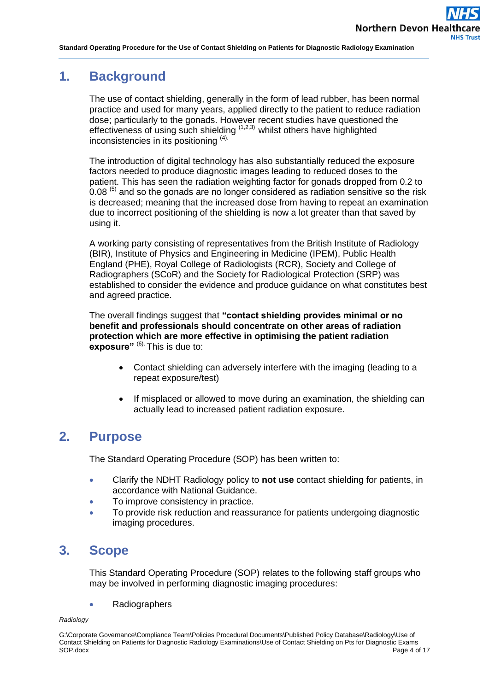## <span id="page-3-0"></span>**1. Background**

The use of contact shielding, generally in the form of lead rubber, has been normal practice and used for many years, applied directly to the patient to reduce radiation dose; particularly to the gonads. However recent studies have questioned the effectiveness of using such shielding  $(1,2,3)$  whilst others have highlighted inconsistencies in its positioning (4).

The introduction of digital technology has also substantially reduced the exposure factors needed to produce diagnostic images leading to reduced doses to the patient. This has seen the radiation weighting factor for gonads dropped from 0.2 to  $0.08$ <sup> $(5)$ </sup> and so the gonads are no longer considered as radiation sensitive so the risk is decreased; meaning that the increased dose from having to repeat an examination due to incorrect positioning of the shielding is now a lot greater than that saved by using it.

A working party consisting of representatives from the British Institute of Radiology (BIR), Institute of Physics and Engineering in Medicine (IPEM), Public Health England (PHE), Royal College of Radiologists (RCR), Society and College of Radiographers (SCoR) and the Society for Radiological Protection (SRP) was established to consider the evidence and produce guidance on what constitutes best and agreed practice.

The overall findings suggest that **"contact shielding provides minimal or no benefit and professionals should concentrate on other areas of radiation protection which are more effective in optimising the patient radiation exposure**"<sup>(6)</sup>. This is due to:

- Contact shielding can adversely interfere with the imaging (leading to a repeat exposure/test)
- If misplaced or allowed to move during an examination, the shielding can actually lead to increased patient radiation exposure.

## <span id="page-3-1"></span>**2. Purpose**

The Standard Operating Procedure (SOP) has been written to:

- Clarify the NDHT Radiology policy to **not use** contact shielding for patients, in accordance with National Guidance.
- To improve consistency in practice.
- To provide risk reduction and reassurance for patients undergoing diagnostic imaging procedures.

# <span id="page-3-2"></span>**3. Scope**

This Standard Operating Procedure (SOP) relates to the following staff groups who may be involved in performing diagnostic imaging procedures:

Radiographers

*Radiology*

G:\Corporate Governance\Compliance Team\Policies Procedural Documents\Published Policy Database\Radiology\Use of Contact Shielding on Patients for Diagnostic Radiology Examinations\Use of Contact Shielding on Pts for Diagnostic Exams SOP.docx Page 4 of 17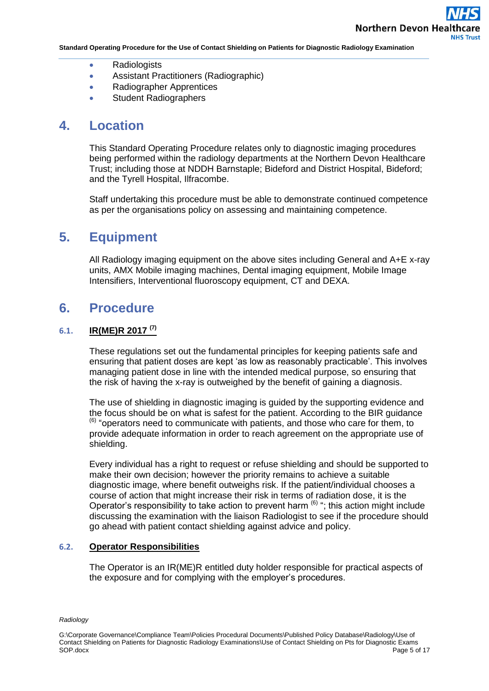- Radiologists
- Assistant Practitioners (Radiographic)
- Radiographer Apprentices
- **Student Radiographers**

## <span id="page-4-0"></span>**4. Location**

This Standard Operating Procedure relates only to diagnostic imaging procedures being performed within the radiology departments at the Northern Devon Healthcare Trust; including those at NDDH Barnstaple; Bideford and District Hospital, Bideford; and the Tyrell Hospital, Ilfracombe.

Staff undertaking this procedure must be able to demonstrate continued competence as per the organisations policy on assessing and maintaining competence.

## <span id="page-4-1"></span>**5. Equipment**

All Radiology imaging equipment on the above sites including General and A+E x-ray units, AMX Mobile imaging machines, Dental imaging equipment, Mobile Image Intensifiers, Interventional fluoroscopy equipment, CT and DEXA.

## <span id="page-4-2"></span>**6. Procedure**

### **6.1. IR(ME)R 2017 (7)**

These regulations set out the fundamental principles for keeping patients safe and ensuring that patient doses are kept 'as low as reasonably practicable'. This involves managing patient dose in line with the intended medical purpose, so ensuring that the risk of having the x-ray is outweighed by the benefit of gaining a diagnosis.

The use of shielding in diagnostic imaging is guided by the supporting evidence and the focus should be on what is safest for the patient. According to the BIR guidance  $<sup>(6)</sup>$  "operators need to communicate with patients, and those who care for them, to</sup> provide adequate information in order to reach agreement on the appropriate use of shielding.

Every individual has a right to request or refuse shielding and should be supported to make their own decision; however the priority remains to achieve a suitable diagnostic image, where benefit outweighs risk. If the patient/individual chooses a course of action that might increase their risk in terms of radiation dose, it is the Operator's responsibility to take action to prevent harm  $(6)$  "; this action might include discussing the examination with the liaison Radiologist to see if the procedure should go ahead with patient contact shielding against advice and policy.

### **6.2. Operator Responsibilities**

The Operator is an IR(ME)R entitled duty holder responsible for practical aspects of the exposure and for complying with the employer's procedures.

#### *Radiology*

G:\Corporate Governance\Compliance Team\Policies Procedural Documents\Published Policy Database\Radiology\Use of Contact Shielding on Patients for Diagnostic Radiology Examinations\Use of Contact Shielding on Pts for Diagnostic Exams SOP.docx Page 5 of 17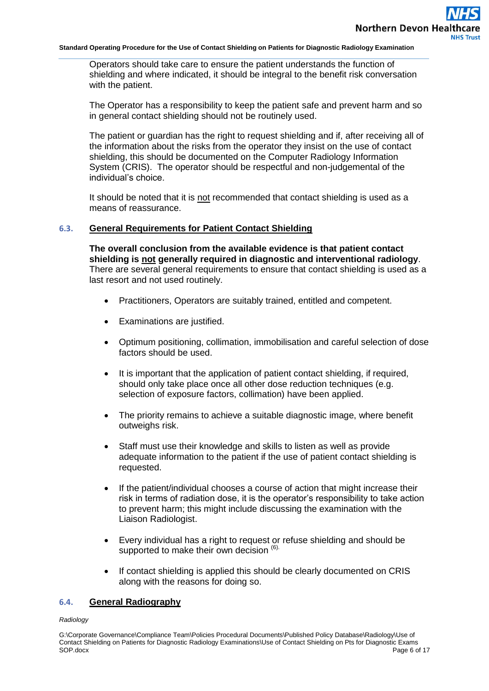Operators should take care to ensure the patient understands the function of shielding and where indicated, it should be integral to the benefit risk conversation with the patient.

The Operator has a responsibility to keep the patient safe and prevent harm and so in general contact shielding should not be routinely used.

The patient or guardian has the right to request shielding and if, after receiving all of the information about the risks from the operator they insist on the use of contact shielding, this should be documented on the Computer Radiology Information System (CRIS). The operator should be respectful and non-judgemental of the individual's choice.

It should be noted that it is not recommended that contact shielding is used as a means of reassurance.

### **6.3. General Requirements for Patient Contact Shielding**

**The overall conclusion from the available evidence is that patient contact shielding is not generally required in diagnostic and interventional radiology**. There are several general requirements to ensure that contact shielding is used as a last resort and not used routinely.

- Practitioners, Operators are suitably trained, entitled and competent.
- Examinations are justified.
- Optimum positioning, collimation, immobilisation and careful selection of dose factors should be used.
- It is important that the application of patient contact shielding, if required, should only take place once all other dose reduction techniques (e.g. selection of exposure factors, collimation) have been applied.
- The priority remains to achieve a suitable diagnostic image, where benefit outweighs risk.
- Staff must use their knowledge and skills to listen as well as provide adequate information to the patient if the use of patient contact shielding is requested.
- If the patient/individual chooses a course of action that might increase their risk in terms of radiation dose, it is the operator's responsibility to take action to prevent harm; this might include discussing the examination with the Liaison Radiologist.
- Every individual has a right to request or refuse shielding and should be supported to make their own decision (6).
- If contact shielding is applied this should be clearly documented on CRIS along with the reasons for doing so.

#### **6.4. General Radiography**

#### *Radiology*

G:\Corporate Governance\Compliance Team\Policies Procedural Documents\Published Policy Database\Radiology\Use of Contact Shielding on Patients for Diagnostic Radiology Examinations\Use of Contact Shielding on Pts for Diagnostic Exams SOP.docx Page 6 of 17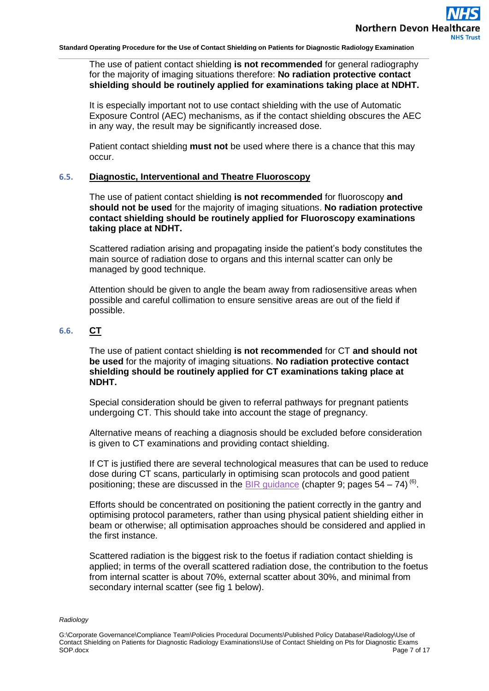#### The use of patient contact shielding **is not recommended** for general radiography for the majority of imaging situations therefore: **No radiation protective contact shielding should be routinely applied for examinations taking place at NDHT.**

It is especially important not to use contact shielding with the use of Automatic Exposure Control (AEC) mechanisms, as if the contact shielding obscures the AEC in any way, the result may be significantly increased dose.

Patient contact shielding **must not** be used where there is a chance that this may occur.

#### **6.5. Diagnostic, Interventional and Theatre Fluoroscopy**

The use of patient contact shielding **is not recommended** for fluoroscopy **and should not be used** for the majority of imaging situations. **No radiation protective contact shielding should be routinely applied for Fluoroscopy examinations taking place at NDHT.**

Scattered radiation arising and propagating inside the patient's body constitutes the main source of radiation dose to organs and this internal scatter can only be managed by good technique.

Attention should be given to angle the beam away from radiosensitive areas when possible and careful collimation to ensure sensitive areas are out of the field if possible.

### **6.6. CT**

The use of patient contact shielding **is not recommended** for CT **and should not be used** for the majority of imaging situations. **No radiation protective contact shielding should be routinely applied for CT examinations taking place at NDHT.**

Special consideration should be given to referral pathways for pregnant patients undergoing CT. This should take into account the stage of pregnancy.

Alternative means of reaching a diagnosis should be excluded before consideration is given to CT examinations and providing contact shielding.

If CT is justified there are several technological measures that can be used to reduce dose during CT scans, particularly in optimising scan protocols and good patient positioning; these are discussed in the **BIR** guidance (chapter 9; pages  $54 - 74$ )<sup>(6)</sup>.

Efforts should be concentrated on positioning the patient correctly in the gantry and optimising protocol parameters, rather than using physical patient shielding either in beam or otherwise; all optimisation approaches should be considered and applied in the first instance.

Scattered radiation is the biggest risk to the foetus if radiation contact shielding is applied; in terms of the overall scattered radiation dose, the contribution to the foetus from internal scatter is about 70%, external scatter about 30%, and minimal from secondary internal scatter (see fig 1 below).

G:\Corporate Governance\Compliance Team\Policies Procedural Documents\Published Policy Database\Radiology\Use of Contact Shielding on Patients for Diagnostic Radiology Examinations\Use of Contact Shielding on Pts for Diagnostic Exams SOP.docx Page 7 of 17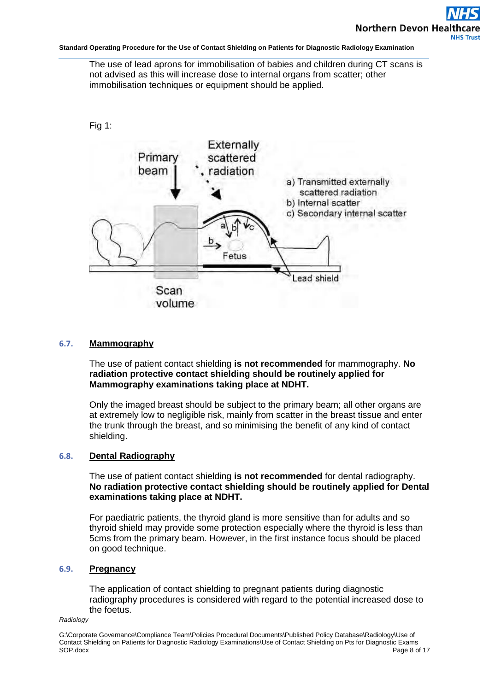The use of lead aprons for immobilisation of babies and children during CT scans is not advised as this will increase dose to internal organs from scatter; other immobilisation techniques or equipment should be applied.



### **6.7. Mammography**

The use of patient contact shielding **is not recommended** for mammography. **No radiation protective contact shielding should be routinely applied for Mammography examinations taking place at NDHT.**

Only the imaged breast should be subject to the primary beam; all other organs are at extremely low to negligible risk, mainly from scatter in the breast tissue and enter the trunk through the breast, and so minimising the benefit of any kind of contact shielding.

### **6.8. Dental Radiography**

The use of patient contact shielding **is not recommended** for dental radiography. **No radiation protective contact shielding should be routinely applied for Dental examinations taking place at NDHT.**

For paediatric patients, the thyroid gland is more sensitive than for adults and so thyroid shield may provide some protection especially where the thyroid is less than 5cms from the primary beam. However, in the first instance focus should be placed on good technique.

### **6.9. Pregnancy**

The application of contact shielding to pregnant patients during diagnostic radiography procedures is considered with regard to the potential increased dose to the foetus.

#### *Radiology*

G:\Corporate Governance\Compliance Team\Policies Procedural Documents\Published Policy Database\Radiology\Use of Contact Shielding on Patients for Diagnostic Radiology Examinations\Use of Contact Shielding on Pts for Diagnostic Exams SOP.docx Page 8 of 17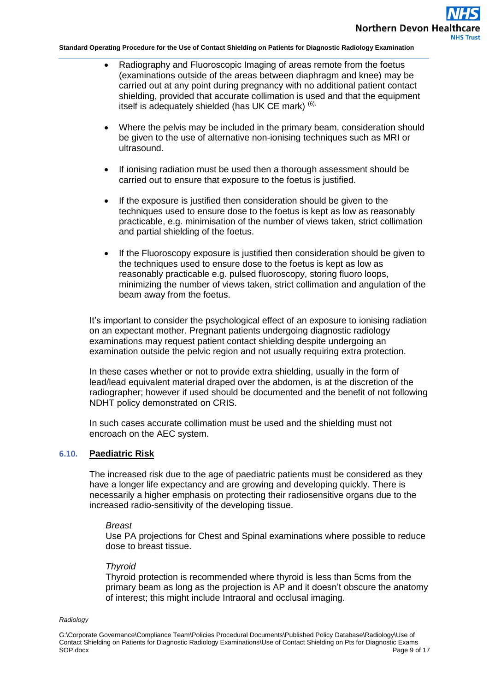- Radiography and Fluoroscopic Imaging of areas remote from the foetus (examinations outside of the areas between diaphragm and knee) may be carried out at any point during pregnancy with no additional patient contact shielding, provided that accurate collimation is used and that the equipment itself is adequately shielded (has UK CE mark) (6).
- Where the pelvis may be included in the primary beam, consideration should be given to the use of alternative non-ionising techniques such as MRI or ultrasound.
- If ionising radiation must be used then a thorough assessment should be carried out to ensure that exposure to the foetus is justified.
- If the exposure is justified then consideration should be given to the techniques used to ensure dose to the foetus is kept as low as reasonably practicable, e.g. minimisation of the number of views taken, strict collimation and partial shielding of the foetus.
- If the Fluoroscopy exposure is justified then consideration should be given to the techniques used to ensure dose to the foetus is kept as low as reasonably practicable e.g. pulsed fluoroscopy, storing fluoro loops, minimizing the number of views taken, strict collimation and angulation of the beam away from the foetus.

It's important to consider the psychological effect of an exposure to ionising radiation on an expectant mother. Pregnant patients undergoing diagnostic radiology examinations may request patient contact shielding despite undergoing an examination outside the pelvic region and not usually requiring extra protection.

In these cases whether or not to provide extra shielding, usually in the form of lead/lead equivalent material draped over the abdomen, is at the discretion of the radiographer; however if used should be documented and the benefit of not following NDHT policy demonstrated on CRIS.

In such cases accurate collimation must be used and the shielding must not encroach on the AEC system.

### **6.10. Paediatric Risk**

The increased risk due to the age of paediatric patients must be considered as they have a longer life expectancy and are growing and developing quickly. There is necessarily a higher emphasis on protecting their radiosensitive organs due to the increased radio-sensitivity of the developing tissue.

#### *Breast*

Use PA projections for Chest and Spinal examinations where possible to reduce dose to breast tissue.

#### *Thyroid*

Thyroid protection is recommended where thyroid is less than 5cms from the primary beam as long as the projection is AP and it doesn't obscure the anatomy of interest; this might include Intraoral and occlusal imaging.

G:\Corporate Governance\Compliance Team\Policies Procedural Documents\Published Policy Database\Radiology\Use of Contact Shielding on Patients for Diagnostic Radiology Examinations\Use of Contact Shielding on Pts for Diagnostic Exams SOP.docx Page 9 of 17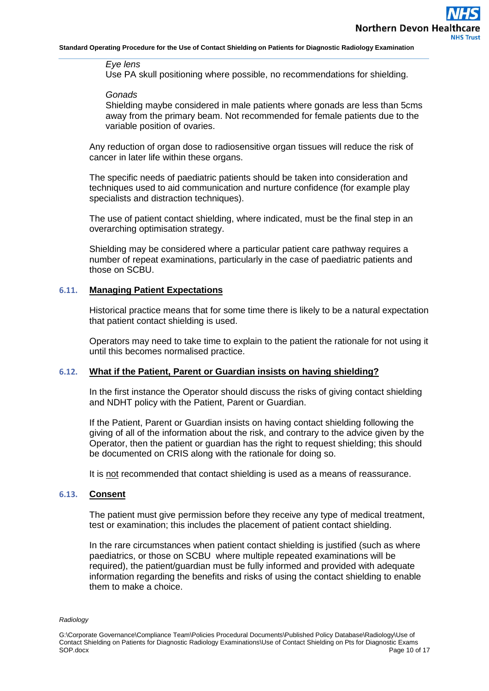#### *Eye lens*

Use PA skull positioning where possible, no recommendations for shielding.

#### *Gonads*

Shielding maybe considered in male patients where gonads are less than 5cms away from the primary beam. Not recommended for female patients due to the variable position of ovaries.

Any reduction of organ dose to radiosensitive organ tissues will reduce the risk of cancer in later life within these organs.

The specific needs of paediatric patients should be taken into consideration and techniques used to aid communication and nurture confidence (for example play specialists and distraction techniques).

The use of patient contact shielding, where indicated, must be the final step in an overarching optimisation strategy.

Shielding may be considered where a particular patient care pathway requires a number of repeat examinations, particularly in the case of paediatric patients and those on SCBU.

#### **6.11. Managing Patient Expectations**

Historical practice means that for some time there is likely to be a natural expectation that patient contact shielding is used.

Operators may need to take time to explain to the patient the rationale for not using it until this becomes normalised practice.

#### **6.12. What if the Patient, Parent or Guardian insists on having shielding?**

In the first instance the Operator should discuss the risks of giving contact shielding and NDHT policy with the Patient, Parent or Guardian.

If the Patient, Parent or Guardian insists on having contact shielding following the giving of all of the information about the risk, and contrary to the advice given by the Operator, then the patient or guardian has the right to request shielding; this should be documented on CRIS along with the rationale for doing so.

It is not recommended that contact shielding is used as a means of reassurance.

#### **6.13. Consent**

The patient must give permission before they receive any type of medical treatment, test or examination; this includes the placement of patient contact shielding.

In the rare circumstances when patient contact shielding is justified (such as where paediatrics, or those on SCBU where multiple repeated examinations will be required), the patient/guardian must be fully informed and provided with adequate information regarding the benefits and risks of using the contact shielding to enable them to make a choice.

G:\Corporate Governance\Compliance Team\Policies Procedural Documents\Published Policy Database\Radiology\Use of Contact Shielding on Patients for Diagnostic Radiology Examinations\Use of Contact Shielding on Pts for Diagnostic Exams SOP.docx Page 10 of 17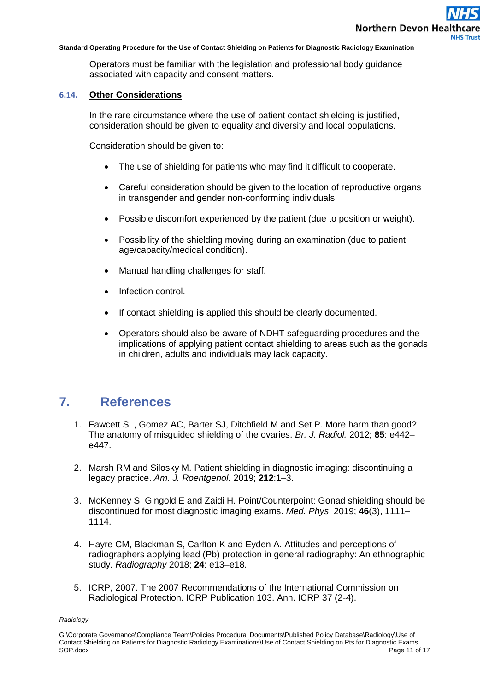Operators must be familiar with the legislation and professional body guidance associated with capacity and consent matters.

### **6.14. Other Considerations**

In the rare circumstance where the use of patient contact shielding is justified, consideration should be given to equality and diversity and local populations.

Consideration should be given to:

- The use of shielding for patients who may find it difficult to cooperate.
- Careful consideration should be given to the location of reproductive organs in transgender and gender non-conforming individuals.
- Possible discomfort experienced by the patient (due to position or weight).
- Possibility of the shielding moving during an examination (due to patient age/capacity/medical condition).
- Manual handling challenges for staff.
- Infection control.
- If contact shielding **is** applied this should be clearly documented.
- Operators should also be aware of NDHT safeguarding procedures and the implications of applying patient contact shielding to areas such as the gonads in children, adults and individuals may lack capacity.

## **7. References**

- <span id="page-10-0"></span>1. Fawcett SL, Gomez AC, Barter SJ, Ditchfield M and Set P. More harm than good? The anatomy of misguided shielding of the ovaries. *Br. J. Radiol.* 2012; **85**: e442– e447.
- 2. Marsh RM and Silosky M. Patient shielding in diagnostic imaging: discontinuing a legacy practice. *Am. J. Roentgenol.* 2019; **212**:1–3.
- 3. McKenney S, Gingold E and Zaidi H. Point/Counterpoint: Gonad shielding should be discontinued for most diagnostic imaging exams. *Med. Phys*. 2019; **46**(3), 1111– 1114.
- 4. Hayre CM, Blackman S, Carlton K and Eyden A. Attitudes and perceptions of radiographers applying lead (Pb) protection in general radiography: An ethnographic study. *Radiography* 2018; **24**: e13–e18.
- 5. ICRP, 2007. The 2007 Recommendations of the International Commission on Radiological Protection. ICRP Publication 103. Ann. ICRP 37 (2-4).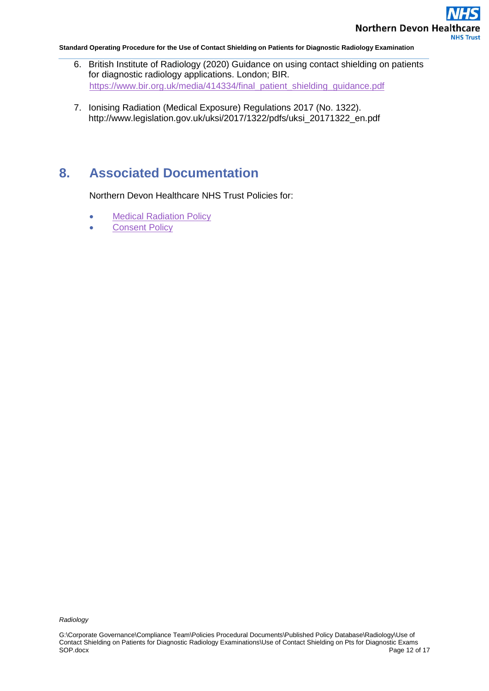

- 6. British Institute of Radiology (2020) Guidance on using contact shielding on patients for diagnostic radiology applications. London; BIR. [https://www.bir.org.uk/media/414334/final\\_patient\\_shielding\\_guidance.pdf](https://www.bir.org.uk/media/414334/final_patient_shielding_guidance.pdf)
- 7. Ionising Radiation (Medical Exposure) Regulations 2017 (No. 1322). http://www.legislation.gov.uk/uksi/2017/1322/pdfs/uksi\_20171322\_en.pdf

# <span id="page-11-0"></span>**8. Associated Documentation**

Northern Devon Healthcare NHS Trust Policies for:

- [Medical Radiation Policy](https://ndht.ndevon.swest.nhs.uk/wp-content/uploads/2015/07/Medical-Radiation-Policy-Nov18.pdf)
- [Consent](https://www.northdevonhealth.nhs.uk/2012/04/consent-policy/) Policy

G:\Corporate Governance\Compliance Team\Policies Procedural Documents\Published Policy Database\Radiology\Use of Contact Shielding on Patients for Diagnostic Radiology Examinations\Use of Contact Shielding on Pts for Diagnostic Exams Page 12 of 17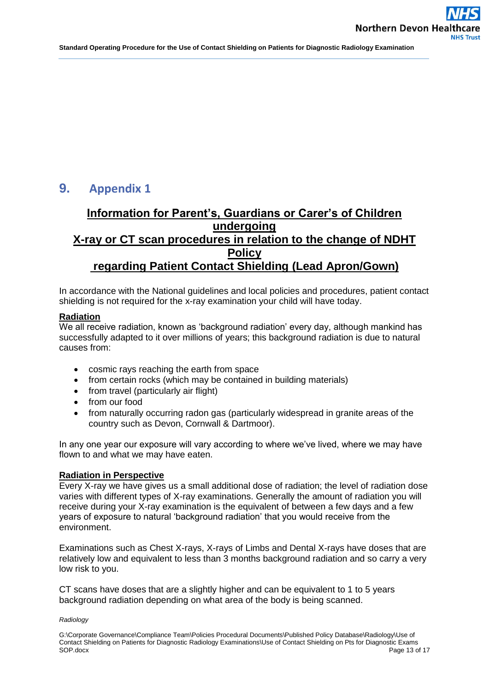# **9. Appendix 1**

## **Information for Parent's, Guardians or Carer's of Children undergoing X-ray or CT scan procedures in relation to the change of NDHT Policy regarding Patient Contact Shielding (Lead Apron/Gown)**

In accordance with the National guidelines and local policies and procedures, patient contact shielding is not required for the x-ray examination your child will have today.

#### **Radiation**

We all receive radiation, known as 'background radiation' every day, although mankind has successfully adapted to it over millions of years; this background radiation is due to natural causes from:

- cosmic rays reaching the earth from space
- from certain rocks (which may be contained in building materials)
- from travel (particularly air flight)
- from our food
- from naturally occurring radon gas (particularly widespread in granite areas of the country such as Devon, Cornwall & Dartmoor).

In any one year our exposure will vary according to where we've lived, where we may have flown to and what we may have eaten.

#### **Radiation in Perspective**

Every X-ray we have gives us a small additional dose of radiation; the level of radiation dose varies with different types of X-ray examinations. Generally the amount of radiation you will receive during your X-ray examination is the equivalent of between a few days and a few years of exposure to natural 'background radiation' that you would receive from the environment.

Examinations such as Chest X-rays, X-rays of Limbs and Dental X-rays have doses that are relatively low and equivalent to less than 3 months background radiation and so carry a very low risk to you.

CT scans have doses that are a slightly higher and can be equivalent to 1 to 5 years background radiation depending on what area of the body is being scanned.

#### *Radiology*

G:\Corporate Governance\Compliance Team\Policies Procedural Documents\Published Policy Database\Radiology\Use of Contact Shielding on Patients for Diagnostic Radiology Examinations\Use of Contact Shielding on Pts for Diagnostic Exams SOP.docx Page 13 of 17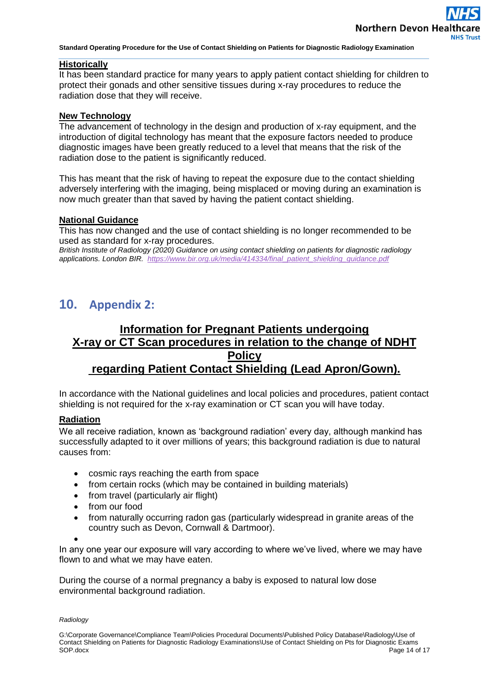### **Historically**

It has been standard practice for many years to apply patient contact shielding for children to protect their gonads and other sensitive tissues during x-ray procedures to reduce the radiation dose that they will receive.

#### **New Technology**

The advancement of technology in the design and production of x-ray equipment, and the introduction of digital technology has meant that the exposure factors needed to produce diagnostic images have been greatly reduced to a level that means that the risk of the radiation dose to the patient is significantly reduced.

This has meant that the risk of having to repeat the exposure due to the contact shielding adversely interfering with the imaging, being misplaced or moving during an examination is now much greater than that saved by having the patient contact shielding.

#### **National Guidance**

This has now changed and the use of contact shielding is no longer recommended to be used as standard for x-ray procedures.

*British Institute of Radiology (2020) Guidance on using contact shielding on patients for diagnostic radiology applications. London BIR. [https://www.bir.org.uk/media/414334/final\\_patient\\_shielding\\_guidance.pdf](https://www.bir.org.uk/media/414334/final_patient_shielding_guidance.pdf)*

## **10. Appendix 2:**

## **Information for Pregnant Patients undergoing X-ray or CT Scan procedures in relation to the change of NDHT Policy regarding Patient Contact Shielding (Lead Apron/Gown).**

In accordance with the National guidelines and local policies and procedures, patient contact shielding is not required for the x-ray examination or CT scan you will have today.

### **Radiation**

We all receive radiation, known as 'background radiation' every day, although mankind has successfully adapted to it over millions of years; this background radiation is due to natural causes from:

- cosmic rays reaching the earth from space
- from certain rocks (which may be contained in building materials)
- from travel (particularly air flight)
- from our food
- from naturally occurring radon gas (particularly widespread in granite areas of the country such as Devon, Cornwall & Dartmoor).

 $\bullet$ 

In any one year our exposure will vary according to where we've lived, where we may have flown to and what we may have eaten.

During the course of a normal pregnancy a baby is exposed to natural low dose environmental background radiation.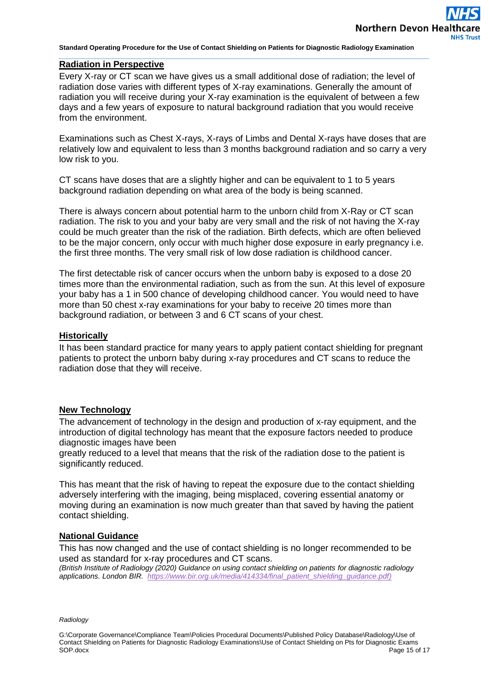### **Radiation in Perspective**

Every X-ray or CT scan we have gives us a small additional dose of radiation; the level of radiation dose varies with different types of X-ray examinations. Generally the amount of radiation you will receive during your X-ray examination is the equivalent of between a few days and a few years of exposure to natural background radiation that you would receive from the environment.

Examinations such as Chest X-rays, X-rays of Limbs and Dental X-rays have doses that are relatively low and equivalent to less than 3 months background radiation and so carry a very low risk to you.

CT scans have doses that are a slightly higher and can be equivalent to 1 to 5 years background radiation depending on what area of the body is being scanned.

There is always concern about potential harm to the unborn child from X-Ray or CT scan radiation. The risk to you and your baby are very small and the risk of not having the X-ray could be much greater than the risk of the radiation. Birth defects, which are often believed to be the major concern, only occur with much higher dose exposure in early pregnancy i.e. the first three months. The very small risk of low dose radiation is childhood cancer.

The first detectable risk of cancer occurs when the unborn baby is exposed to a dose 20 times more than the environmental radiation, such as from the sun. At this level of exposure your baby has a 1 in 500 chance of developing childhood cancer. You would need to have more than 50 chest x-ray examinations for your baby to receive 20 times more than background radiation, or between 3 and 6 CT scans of your chest.

#### **Historically**

It has been standard practice for many years to apply patient contact shielding for pregnant patients to protect the unborn baby during x-ray procedures and CT scans to reduce the radiation dose that they will receive.

### **New Technology**

The advancement of technology in the design and production of x-ray equipment, and the introduction of digital technology has meant that the exposure factors needed to produce diagnostic images have been

greatly reduced to a level that means that the risk of the radiation dose to the patient is significantly reduced.

This has meant that the risk of having to repeat the exposure due to the contact shielding adversely interfering with the imaging, being misplaced, covering essential anatomy or moving during an examination is now much greater than that saved by having the patient contact shielding.

### **National Guidance**

This has now changed and the use of contact shielding is no longer recommended to be used as standard for x-ray procedures and CT scans.

*(British Institute of Radiology (2020) Guidance on using contact shielding on patients for diagnostic radiology applications. London BIR. [https://www.bir.org.uk/media/414334/final\\_patient\\_shielding\\_guidance.pdf\)](https://www.bir.org.uk/media/414334/final_patient_shielding_guidance.pdf)*

*Radiology*

G:\Corporate Governance\Compliance Team\Policies Procedural Documents\Published Policy Database\Radiology\Use of Contact Shielding on Patients for Diagnostic Radiology Examinations\Use of Contact Shielding on Pts for Diagnostic Exams SOP.docx Page 15 of 17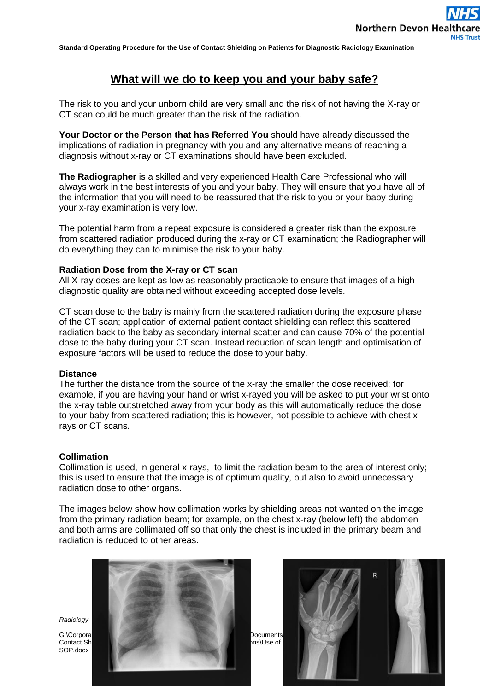### **What will we do to keep you and your baby safe?**

The risk to you and your unborn child are very small and the risk of not having the X-ray or CT scan could be much greater than the risk of the radiation.

**Your Doctor or the Person that has Referred You** should have already discussed the implications of radiation in pregnancy with you and any alternative means of reaching a diagnosis without x-ray or CT examinations should have been excluded.

**The Radiographer** is a skilled and very experienced Health Care Professional who will always work in the best interests of you and your baby. They will ensure that you have all of the information that you will need to be reassured that the risk to you or your baby during your x-ray examination is very low.

The potential harm from a repeat exposure is considered a greater risk than the exposure from scattered radiation produced during the x-ray or CT examination; the Radiographer will do everything they can to minimise the risk to your baby.

### **Radiation Dose from the X-ray or CT scan**

All X-ray doses are kept as low as reasonably practicable to ensure that images of a high diagnostic quality are obtained without exceeding accepted dose levels.

CT scan dose to the baby is mainly from the scattered radiation during the exposure phase of the CT scan; application of external patient contact shielding can reflect this scattered radiation back to the baby as secondary internal scatter and can cause 70% of the potential dose to the baby during your CT scan. Instead reduction of scan length and optimisation of exposure factors will be used to reduce the dose to your baby.

#### **Distance**

The further the distance from the source of the x-ray the smaller the dose received; for example, if you are having your hand or wrist x-rayed you will be asked to put your wrist onto the x-ray table outstretched away from your body as this will automatically reduce the dose to your baby from scattered radiation; this is however, not possible to achieve with chest xrays or CT scans.

#### **Collimation**

Collimation is used, in general x-rays, to limit the radiation beam to the area of interest only; this is used to ensure that the image is of optimum quality, but also to avoid unnecessary radiation dose to other organs.

The images below show how collimation works by shielding areas not wanted on the image from the primary radiation beam; for example, on the chest x-ray (below left) the abdomen and both arms are collimated off so that only the chest is included in the primary beam and radiation is reduced to other areas.